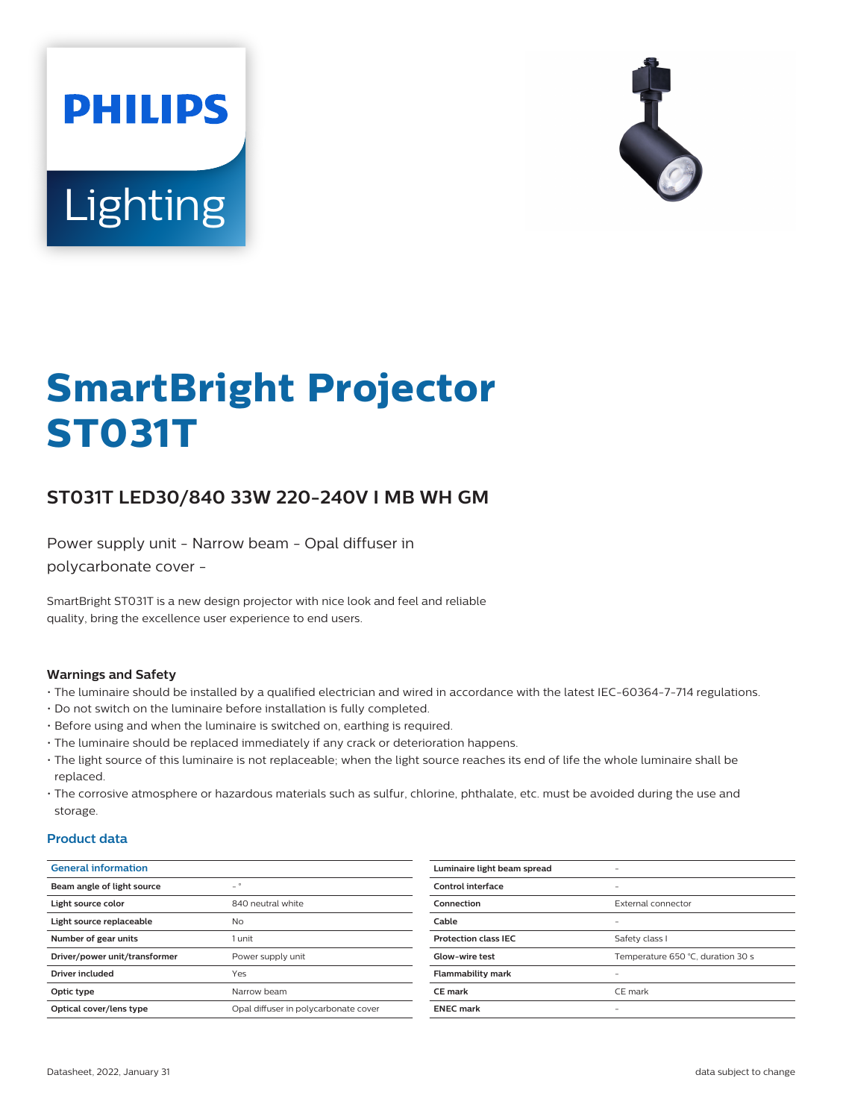



# **SmartBright Projector ST031T**

# **ST031T LED30/840 33W 220-240V I MB WH GM**

Power supply unit - Narrow beam - Opal diffuser in polycarbonate cover -

SmartBright ST031T is a new design projector with nice look and feel and reliable quality, bring the excellence user experience to end users.

#### **Warnings and Safety**

- The luminaire should be installed by a qualified electrician and wired in accordance with the latest IEC-60364-7-714 regulations.
- Do not switch on the luminaire before installation is fully completed.
- Before using and when the luminaire is switched on, earthing is required.
- The luminaire should be replaced immediately if any crack or deterioration happens.
- The light source of this luminaire is not replaceable; when the light source reaches its end of life the whole luminaire shall be replaced.
- The corrosive atmosphere or hazardous materials such as sulfur, chlorine, phthalate, etc. must be avoided during the use and storage.

#### **Product data**

| <b>General information</b>    |                                      | Luminaire light beam spread | $\overline{\phantom{0}}$          |
|-------------------------------|--------------------------------------|-----------------------------|-----------------------------------|
| Beam angle of light source    | $\circ$                              | Control interface           | $\overline{\phantom{a}}$          |
| Light source color            | 840 neutral white                    | Connection                  | External connector                |
| Light source replaceable      | <b>No</b>                            | Cable                       | $\overline{\phantom{a}}$          |
| Number of gear units          | 1 unit                               | <b>Protection class IEC</b> | Safety class I                    |
| Driver/power unit/transformer | Power supply unit                    | Glow-wire test              | Temperature 650 °C, duration 30 s |
| Driver included               | Yes                                  | <b>Flammability mark</b>    | $\overline{\phantom{a}}$          |
| Optic type                    | Narrow beam                          | <b>CE mark</b>              | CE mark                           |
| Optical cover/lens type       | Opal diffuser in polycarbonate cover | <b>ENEC mark</b>            | $\overline{\phantom{a}}$          |
|                               |                                      |                             |                                   |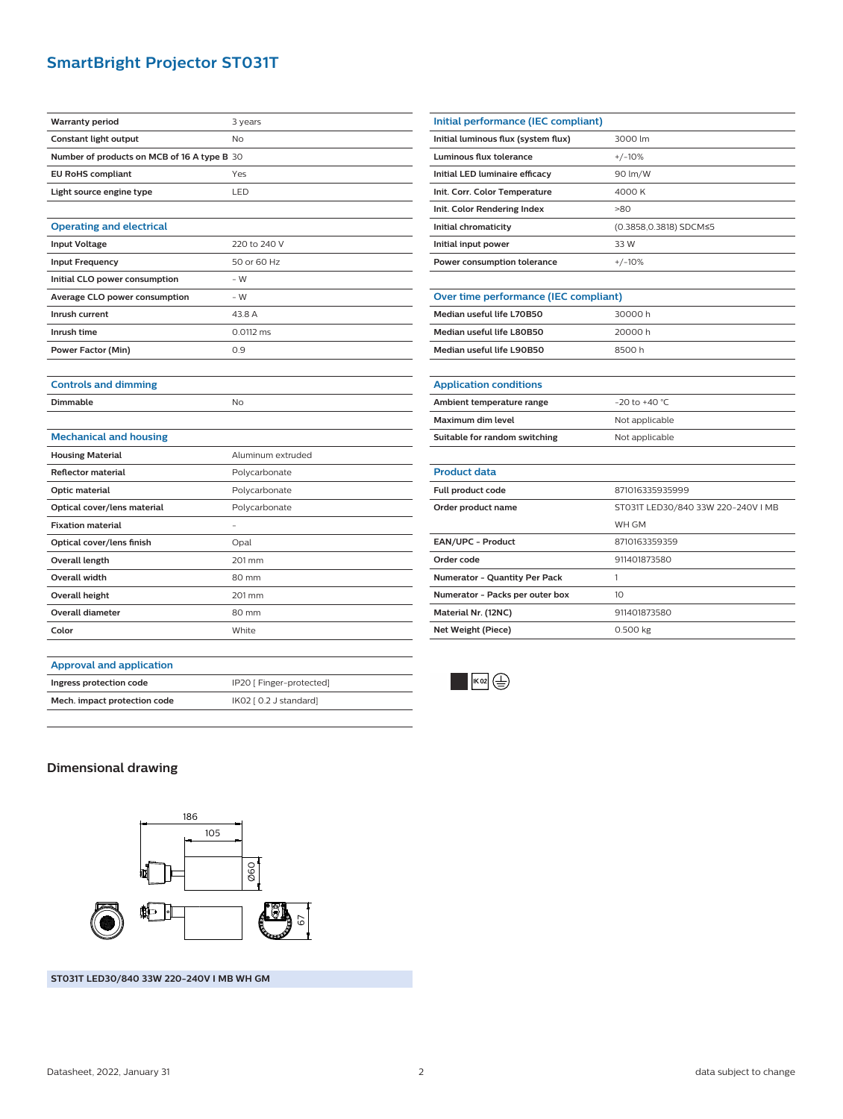# **SmartBright Projector ST031T**

| <b>Warranty period</b>                      | 3 years           |
|---------------------------------------------|-------------------|
| Constant light output                       | <b>No</b>         |
| Number of products on MCB of 16 A type B 30 |                   |
| <b>EU RoHS compliant</b>                    | Yes               |
| Light source engine type                    | LED               |
|                                             |                   |
| <b>Operating and electrical</b>             |                   |
| <b>Input Voltage</b>                        | 220 to 240 V      |
| <b>Input Frequency</b>                      | 50 or 60 Hz       |
| Initial CLO power consumption               | $-W$              |
| Average CLO power consumption               | $-W$              |
| Inrush current                              | 43.8 A            |
| Inrush time                                 | 0.0112 ms         |
| <b>Power Factor (Min)</b>                   | 0.9               |
|                                             |                   |
| <b>Controls and dimming</b>                 |                   |
| <b>Dimmable</b>                             | No                |
|                                             |                   |
| <b>Mechanical and housing</b>               |                   |
| <b>Housing Material</b>                     | Aluminum extruded |
| <b>Reflector material</b>                   | Polycarbonate     |
| Optic material                              | Polycarbonate     |
| Optical cover/lens material                 | Polycarbonate     |
| <b>Fixation material</b>                    |                   |
| Optical cover/lens finish                   | Opal              |
| Overall length                              | 201 mm            |
| <b>Overall width</b>                        | 80 mm             |
| <b>Overall height</b>                       | 201 mm            |
| <b>Overall diameter</b>                     | 80 mm             |
| Color                                       | White             |
|                                             |                   |

| Initial performance (IEC compliant)   |                                    |  |  |  |
|---------------------------------------|------------------------------------|--|--|--|
| Initial luminous flux (system flux)   | 3000 lm                            |  |  |  |
| Luminous flux tolerance               | $+/-10%$                           |  |  |  |
| Initial LED luminaire efficacy        | 90 lm/W                            |  |  |  |
| Init. Corr. Color Temperature         | 4000 K                             |  |  |  |
| Init. Color Rendering Index           | >80                                |  |  |  |
| Initial chromaticity                  | (0.3858,0.3818) SDCM≤5             |  |  |  |
| Initial input power                   | 33W                                |  |  |  |
| Power consumption tolerance           | $+/-10%$                           |  |  |  |
|                                       |                                    |  |  |  |
| Over time performance (IEC compliant) |                                    |  |  |  |
| Median useful life L70B50             | 30000 h                            |  |  |  |
| Median useful life L80B50             | 20000 h                            |  |  |  |
| Median useful life L90B50             | 8500h                              |  |  |  |
|                                       |                                    |  |  |  |
| <b>Application conditions</b>         |                                    |  |  |  |
| Ambient temperature range             | $-20$ to $+40$ °C                  |  |  |  |
| <b>Maximum dim level</b>              | Not applicable                     |  |  |  |
| Suitable for random switching         | Not applicable                     |  |  |  |
|                                       |                                    |  |  |  |
| <b>Product data</b>                   |                                    |  |  |  |
| Full product code                     | 871016335935999                    |  |  |  |
| Order product name                    | ST031T LED30/840 33W 220-240V I MB |  |  |  |
|                                       | WH GM                              |  |  |  |
| EAN/UPC - Product                     | 8710163359359                      |  |  |  |
| Order code                            | 911401873580                       |  |  |  |
| Numerator - Quantity Per Pack         | 1                                  |  |  |  |
| Numerator - Packs per outer box       | 10                                 |  |  |  |
| Material Nr. (12NC)                   | 911401873580                       |  |  |  |
| Net Weight (Piece)                    | 0.500 kg                           |  |  |  |

#### **Approval and application**

| Ingress protection code      | IP20 [ Finger-protected] |  |  |  |
|------------------------------|--------------------------|--|--|--|
| Mech. impact protection code | IK02 [ 0.2 J standard]   |  |  |  |
|                              |                          |  |  |  |

### **Dimensional drawing**



**ST031T LED30/840 33W 220-240V I MB WH GM**

 $\blacksquare$   $\boxdot$   $\bigoplus$